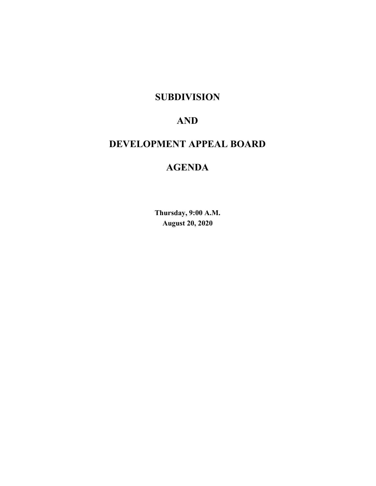# **SUBDIVISION**

# **AND**

# **DEVELOPMENT APPEAL BOARD**

# **AGENDA**

**Thursday, 9:00 A.M. August 20, 2020**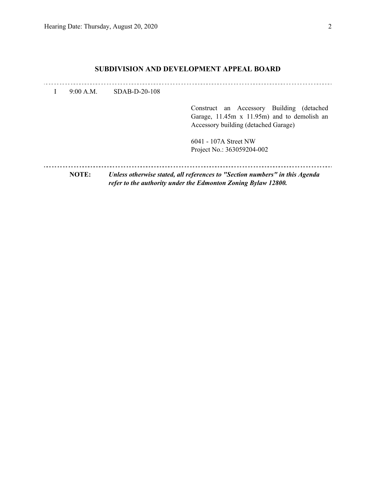## **SUBDIVISION AND DEVELOPMENT APPEAL BOARD**

| 9:00 A.M.    | $SDAB-D-20-108$ |                                                                                                                                              |
|--------------|-----------------|----------------------------------------------------------------------------------------------------------------------------------------------|
|              |                 | Construct an Accessory Building (detached<br>Garage, 11.45m x 11.95m) and to demolish an<br>Accessory building (detached Garage)             |
|              |                 | 6041 - 107A Street NW<br>Project No.: 363059204-002                                                                                          |
| <b>NOTE:</b> |                 | Unless otherwise stated, all references to "Section numbers" in this Agenda<br>refer to the authority under the Edmonton Zoning Bylaw 12800. |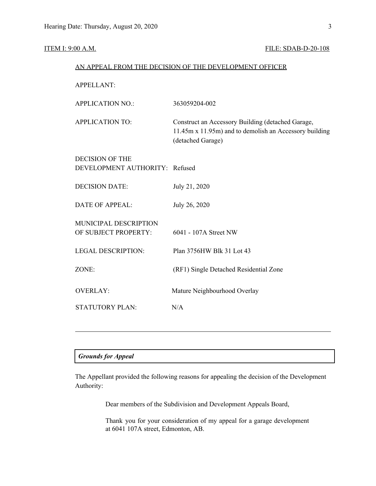### **ITEM I: 9:00 A.M. FILE: SDAB-D-20-108**

|                                                          | AN APPEAL FROM THE DECISION OF THE DEVELOPMENT OFFICER                                                                           |
|----------------------------------------------------------|----------------------------------------------------------------------------------------------------------------------------------|
| <b>APPELLANT:</b>                                        |                                                                                                                                  |
| <b>APPLICATION NO.:</b>                                  | 363059204-002                                                                                                                    |
| <b>APPLICATION TO:</b>                                   | Construct an Accessory Building (detached Garage,<br>11.45m x 11.95m) and to demolish an Accessory building<br>(detached Garage) |
| <b>DECISION OF THE</b><br>DEVELOPMENT AUTHORITY: Refused |                                                                                                                                  |
| <b>DECISION DATE:</b>                                    | July 21, 2020                                                                                                                    |
| <b>DATE OF APPEAL:</b>                                   | July 26, 2020                                                                                                                    |
| MUNICIPAL DESCRIPTION<br>OF SUBJECT PROPERTY:            | 6041 - 107A Street NW                                                                                                            |

LEGAL DESCRIPTION: Plan 3756HW Blk 31 Lot 43

ZONE: (RF1) Single Detached Residential Zone

OVERLAY: Mature Neighbourhood Overlay

STATUTORY PLAN: N/A

### *Grounds for Appeal*

The Appellant provided the following reasons for appealing the decision of the Development Authority:

Dear members of the Subdivision and Development Appeals Board,

Thank you for your consideration of my appeal for a garage development at 6041 107A street, Edmonton, AB.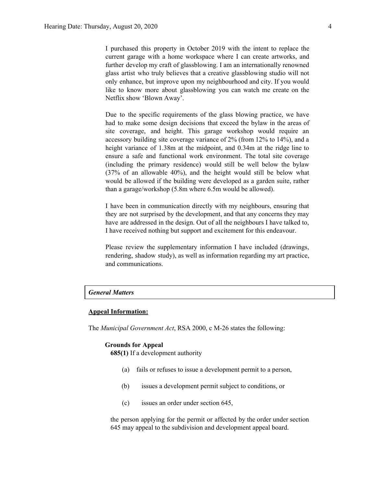I purchased this property in October 2019 with the intent to replace the current garage with a home workspace where I can create artworks, and further develop my craft of glassblowing. I am an internationally renowned glass artist who truly believes that a creative glassblowing studio will not only enhance, but improve upon my neighbourhood and city. If you would like to know more about glassblowing you can watch me create on the Netflix show 'Blown Away'.

Due to the specific requirements of the glass blowing practice, we have had to make some design decisions that exceed the bylaw in the areas of site coverage, and height. This garage workshop would require an accessory building site coverage variance of 2% (from 12% to 14%), and a height variance of 1.38m at the midpoint, and 0.34m at the ridge line to ensure a safe and functional work environment. The total site coverage (including the primary residence) would still be well below the bylaw (37% of an allowable 40%), and the height would still be below what would be allowed if the building were developed as a garden suite, rather than a garage/workshop (5.8m where 6.5m would be allowed).

I have been in communication directly with my neighbours, ensuring that they are not surprised by the development, and that any concerns they may have are addressed in the design. Out of all the neighbours I have talked to, I have received nothing but support and excitement for this endeavour.

Please review the supplementary information I have included (drawings, rendering, shadow study), as well as information regarding my art practice, and communications.

#### *General Matters*

#### **Appeal Information:**

The *Municipal Government Act*, RSA 2000, c M-26 states the following:

#### **Grounds for Appeal**

**685(1)** If a development authority

- (a) fails or refuses to issue a development permit to a person,
- (b) issues a development permit subject to conditions, or
- (c) issues an order under section 645,

the person applying for the permit or affected by the order under section 645 may appeal to the subdivision and development appeal board.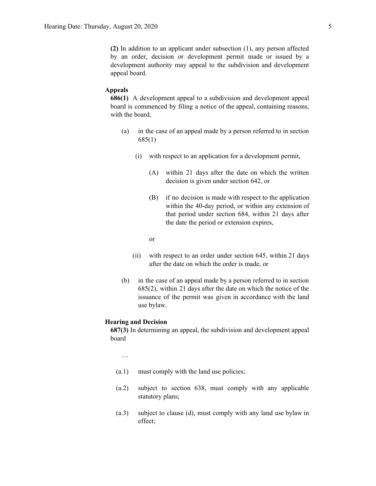**(2)** In addition to an applicant under subsection (1), any person affected by an order, decision or development permit made or issued by a development authority may appeal to the subdivision and development appeal board.

#### **Appeals**

**686(1)** A development appeal to a subdivision and development appeal board is commenced by filing a notice of the appeal, containing reasons, with the board,

- (a) in the case of an appeal made by a person referred to in section 685(1)
	- (i) with respect to an application for a development permit,
		- (A) within 21 days after the date on which the written decision is given under section 642, or
		- (B) if no decision is made with respect to the application within the 40-day period, or within any extension of that period under section 684, within 21 days after the date the period or extension expires,

or

- (ii) with respect to an order under section 645, within 21 days after the date on which the order is made, or
- (b) in the case of an appeal made by a person referred to in section 685(2), within 21 days after the date on which the notice of the issuance of the permit was given in accordance with the land use bylaw.

#### **Hearing and Decision**

**687(3)** In determining an appeal, the subdivision and development appeal board

…

- (a.1) must comply with the land use policies;
- (a.2) subject to section 638, must comply with any applicable statutory plans;
- (a.3) subject to clause (d), must comply with any land use bylaw in effect;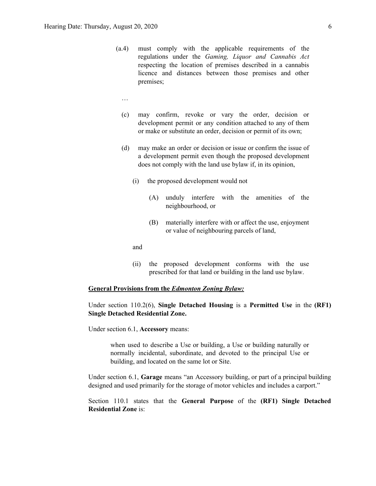- (a.4) must comply with the applicable requirements of the regulations under the *Gaming, Liquor and Cannabis Act* respecting the location of premises described in a cannabis licence and distances between those premises and other premises;
	- …
	- (c) may confirm, revoke or vary the order, decision or development permit or any condition attached to any of them or make or substitute an order, decision or permit of its own;
	- (d) may make an order or decision or issue or confirm the issue of a development permit even though the proposed development does not comply with the land use bylaw if, in its opinion,
		- (i) the proposed development would not
			- (A) unduly interfere with the amenities of the neighbourhood, or
			- (B) materially interfere with or affect the use, enjoyment or value of neighbouring parcels of land,

and

(ii) the proposed development conforms with the use prescribed for that land or building in the land use bylaw.

#### **General Provisions from the** *Edmonton Zoning Bylaw:*

Under section 110.2(6), **Single Detached Housing** is a **Permitted Use** in the **(RF1) Single Detached Residential Zone.**

Under section 6.1, **Accessory** means:

when used to describe a Use or building, a Use or building naturally or normally incidental, subordinate, and devoted to the principal Use or building, and located on the same lot or Site.

Under section 6.1, **Garage** means "an Accessory building, or part of a principal building designed and used primarily for the storage of motor vehicles and includes a carport."

Section 110.1 states that the **General Purpose** of the **(RF1) Single Detached Residential Zone** is: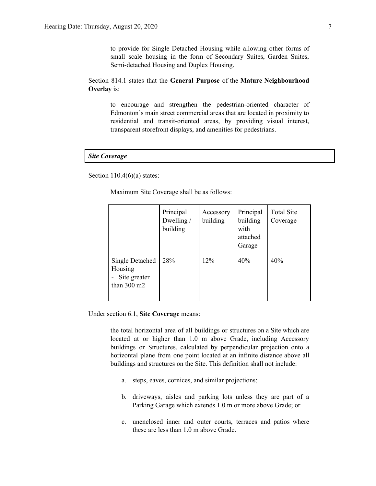to provide for Single Detached Housing while allowing other forms of small scale housing in the form of Secondary Suites, Garden Suites, Semi-detached Housing and Duplex Housing.

Section 814.1 states that the **General Purpose** of the **Mature Neighbourhood Overlay** is:

to encourage and strengthen the pedestrian-oriented character of Edmonton's main street commercial areas that are located in proximity to residential and transit-oriented areas, by providing visual interest, transparent storefront displays, and amenities for pedestrians.

#### *Site Coverage*

Section  $110.4(6)(a)$  states:

Maximum Site Coverage shall be as follows:

|                                                                     | Principal<br>Dwelling /<br>building | Accessory<br>building | Principal<br>building<br>with<br>attached<br>Garage | <b>Total Site</b><br>Coverage |
|---------------------------------------------------------------------|-------------------------------------|-----------------------|-----------------------------------------------------|-------------------------------|
| Single Detached<br>Housing<br>Site greater<br>than $300 \text{ m2}$ | 28%                                 | 12%                   | 40%                                                 | 40%                           |

Under section 6.1, **Site Coverage** means:

the total horizontal area of all buildings or structures on a Site which are located at or higher than 1.0 m above Grade, including Accessory buildings or Structures, calculated by perpendicular projection onto a horizontal plane from one point located at an infinite distance above all buildings and structures on the Site. This definition shall not include:

- a. steps, eaves, cornices, and similar projections;
- b. driveways, aisles and parking lots unless they are part of a Parking Garage which extends 1.0 m or more above Grade; or
- c. unenclosed inner and outer courts, terraces and patios where these are less than 1.0 m above Grade.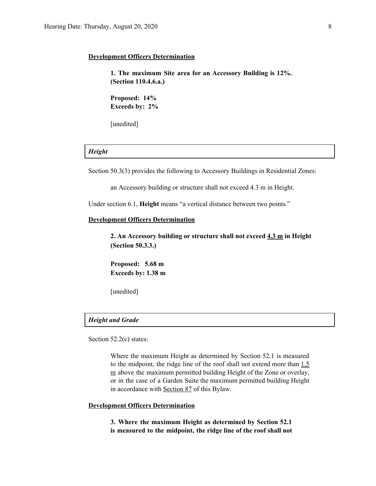#### **Development Officers Determination**

**1. The maximum Site area for an Accessory Building is 12%. (Section 110.4.6.a.)**

**Proposed: 14% Exceeds by: 2%**

[unedited]

### *Height*

Section 50.3(3) provides the following to Accessory Buildings in Residential Zones:

an Accessory building or structure shall not exceed 4.3 m in Height.

Under section 6.1, **Height** means "a vertical distance between two points."

#### **Development Officers Determination**

**2. An Accessory building or structure shall not exceed 4.3 m in Height (Section 50.3.3.)**

**Proposed: 5.68 m Exceeds by: 1.38 m**

[unedited]

#### *Height and Grade*

Section 52.2(c) states:

Where the maximum Height as determined by Section 52.1 is measured to the midpoint, the ridge line of the roof shall not extend more than 1.5 m above the maximum permitted building Height of the Zone or overlay, or in the case of a Garden Suite the maximum permitted building Height in accordance with [Section](http://webdocs.edmonton.ca/InfraPlan/zoningbylaw/ZoningBylaw/Part1/Special_Land/87_Garage_and_Garden_Suites.htm) 87 of this Bylaw.

### **Development Officers Determination**

**3. Where the maximum Height as determined by Section 52.1 is measured to the midpoint, the ridge line of the roof shall not**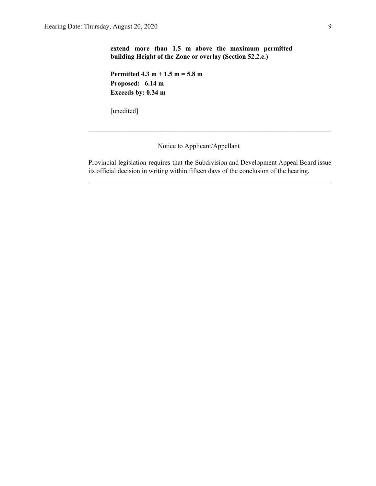**extend more than 1.5 m above the maximum permitted building Height of the Zone or overlay (Section 52.2.c.)**

**Permitted 4.3 m + 1.5 m = 5.8 m Proposed: 6.14 m Exceeds by: 0.34 m**

[unedited]

### Notice to Applicant/Appellant

Provincial legislation requires that the Subdivision and Development Appeal Board issue its official decision in writing within fifteen days of the conclusion of the hearing.

 $\mathcal{L}_\text{max} = \frac{1}{2} \sum_{i=1}^n \mathcal{L}_\text{max} = \frac{1}{2} \sum_{i=1}^n \mathcal{L}_\text{max} = \frac{1}{2} \sum_{i=1}^n \mathcal{L}_\text{max} = \frac{1}{2} \sum_{i=1}^n \mathcal{L}_\text{max} = \frac{1}{2} \sum_{i=1}^n \mathcal{L}_\text{max} = \frac{1}{2} \sum_{i=1}^n \mathcal{L}_\text{max} = \frac{1}{2} \sum_{i=1}^n \mathcal{L}_\text{max} = \frac{1}{2} \sum_{i=$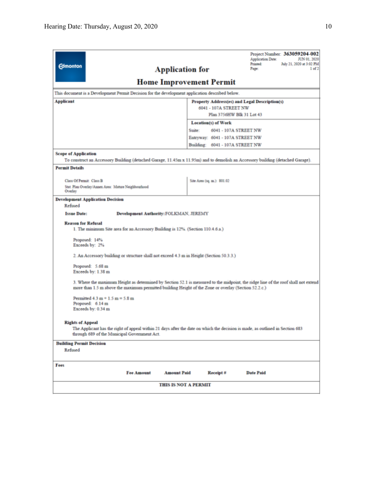| <b>Edmonton</b>                                                                                                                                                                                                                            | Project Number: 363059204-002<br><b>Application Date:</b><br>JUN 01, 2020<br>Printed:<br>July 21, 2020 at 3:02 PM<br><b>Application for</b><br>Page:<br>$1$ of $2$ |  |  |  |  |  |  |  |
|--------------------------------------------------------------------------------------------------------------------------------------------------------------------------------------------------------------------------------------------|--------------------------------------------------------------------------------------------------------------------------------------------------------------------|--|--|--|--|--|--|--|
| <b>Home Improvement Permit</b>                                                                                                                                                                                                             |                                                                                                                                                                    |  |  |  |  |  |  |  |
| This document is a Development Permit Decision for the development application described below.                                                                                                                                            |                                                                                                                                                                    |  |  |  |  |  |  |  |
| <b>Applicant</b><br>Property Address(es) and Legal Description(s)<br>6041 - 107A STREET NW<br>Plan 3756HW Blk 31 Lot 43                                                                                                                    |                                                                                                                                                                    |  |  |  |  |  |  |  |
|                                                                                                                                                                                                                                            | <b>Location(s) of Work</b>                                                                                                                                         |  |  |  |  |  |  |  |
|                                                                                                                                                                                                                                            | Suite:<br>6041 - 107A STREET NW                                                                                                                                    |  |  |  |  |  |  |  |
|                                                                                                                                                                                                                                            | Entryway: 6041 - 107A STREET NW                                                                                                                                    |  |  |  |  |  |  |  |
|                                                                                                                                                                                                                                            | Building: 6041 - 107A STREET NW                                                                                                                                    |  |  |  |  |  |  |  |
| <b>Scope of Application</b>                                                                                                                                                                                                                | To construct an Accessory Building (detached Garage, 11.45m x 11.95m) and to demolish an Accessory building (detached Garage).                                     |  |  |  |  |  |  |  |
| <b>Permit Details</b>                                                                                                                                                                                                                      |                                                                                                                                                                    |  |  |  |  |  |  |  |
|                                                                                                                                                                                                                                            |                                                                                                                                                                    |  |  |  |  |  |  |  |
| Class Of Permit: Class B                                                                                                                                                                                                                   | Site Area (sq. m.): \$01.02                                                                                                                                        |  |  |  |  |  |  |  |
| Stat. Plan Overlay/Annex Area: Mature Neighbourhood<br>Overlay                                                                                                                                                                             |                                                                                                                                                                    |  |  |  |  |  |  |  |
| <b>Development Application Decision</b>                                                                                                                                                                                                    |                                                                                                                                                                    |  |  |  |  |  |  |  |
| Refused                                                                                                                                                                                                                                    |                                                                                                                                                                    |  |  |  |  |  |  |  |
| <b>Issue Date:</b><br><b>Development Authority: FOLKMAN, JEREMY</b>                                                                                                                                                                        |                                                                                                                                                                    |  |  |  |  |  |  |  |
| <b>Reason for Refusal</b><br>1. The minimum Site area for an Accessory Building is 12%. (Section 110.4.6.a.)                                                                                                                               |                                                                                                                                                                    |  |  |  |  |  |  |  |
| Proposed: 14%<br>Exceeds by: 2%                                                                                                                                                                                                            |                                                                                                                                                                    |  |  |  |  |  |  |  |
| 2. An Accessory building or structure shall not exceed 4.3 m in Height (Section 50.3.3.)                                                                                                                                                   |                                                                                                                                                                    |  |  |  |  |  |  |  |
| Proposed: 5.68 m<br>Exceeds by: 1.38 m                                                                                                                                                                                                     |                                                                                                                                                                    |  |  |  |  |  |  |  |
| 3. Where the maximum Height as determined by Section 52.1 is measured to the midpoint, the ridge line of the roof shall not extend<br>more than 1.5 m above the maximum permitted building Height of the Zone or overlay (Section 52.2.c.) |                                                                                                                                                                    |  |  |  |  |  |  |  |
| Permitted $4.3 m + 1.5 m = 5.8 m$<br>Proposed: 6.14 m<br>Exceeds by: 0.34 m                                                                                                                                                                |                                                                                                                                                                    |  |  |  |  |  |  |  |
| <b>Rights of Appeal</b><br>The Applicant has the right of appeal within 21 days after the date on which the decision is made, as outlined in Section 683<br>through 689 of the Municipal Government Act.                                   |                                                                                                                                                                    |  |  |  |  |  |  |  |
| <b>Building Permit Decision</b>                                                                                                                                                                                                            |                                                                                                                                                                    |  |  |  |  |  |  |  |
| Refused                                                                                                                                                                                                                                    |                                                                                                                                                                    |  |  |  |  |  |  |  |
| Fees                                                                                                                                                                                                                                       |                                                                                                                                                                    |  |  |  |  |  |  |  |
| <b>Fee Amount</b>                                                                                                                                                                                                                          | <b>Amount Paid</b><br>Receipt#<br><b>Date Paid</b>                                                                                                                 |  |  |  |  |  |  |  |
| <b>THIS IS NOT A PERMIT</b>                                                                                                                                                                                                                |                                                                                                                                                                    |  |  |  |  |  |  |  |
|                                                                                                                                                                                                                                            |                                                                                                                                                                    |  |  |  |  |  |  |  |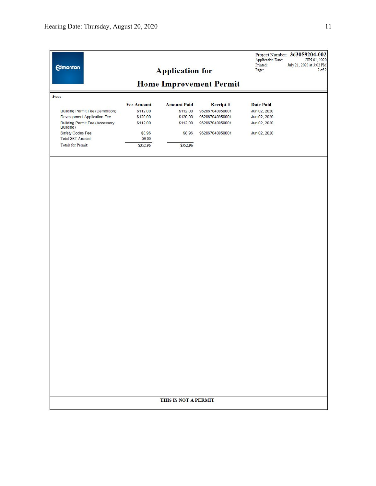|                                                    |                   | <b>Application for</b> |                 | Printed:<br>Page: | July 21, 2020 at 3:02 PM<br>$2$ of $2$ |  |  |  |  |  |
|----------------------------------------------------|-------------------|------------------------|-----------------|-------------------|----------------------------------------|--|--|--|--|--|
| <b>Home Improvement Permit</b>                     |                   |                        |                 |                   |                                        |  |  |  |  |  |
| Fees                                               |                   |                        |                 |                   |                                        |  |  |  |  |  |
|                                                    | <b>Fee Amount</b> | <b>Amount Paid</b>     | Receipt#        | <b>Date Paid</b>  |                                        |  |  |  |  |  |
| <b>Building Permit Fee (Demolition)</b>            | \$112.00          | \$112.00               | 962067040950001 | Jun 02, 2020      |                                        |  |  |  |  |  |
| Development Application Fee                        | \$120.00          | \$120.00               | 962067040950001 | Jun 02, 2020      |                                        |  |  |  |  |  |
| <b>Building Permit Fee (Accessory</b><br>Building) | \$112.00          | \$112.00               | 962067040950001 | Jun 02, 2020      |                                        |  |  |  |  |  |
| Safety Codes Fee                                   | \$8.96            | \$8.96                 | 962067040950001 | Jun 02, 2020      |                                        |  |  |  |  |  |
| Total GST Amount:                                  | \$0.00            |                        |                 |                   |                                        |  |  |  |  |  |
| <b>Totals for Permit:</b>                          | \$352.96          | \$352.96               |                 |                   |                                        |  |  |  |  |  |
|                                                    |                   |                        |                 |                   |                                        |  |  |  |  |  |
|                                                    |                   |                        |                 |                   |                                        |  |  |  |  |  |
|                                                    |                   |                        |                 |                   |                                        |  |  |  |  |  |
|                                                    |                   |                        |                 |                   |                                        |  |  |  |  |  |
|                                                    |                   |                        |                 |                   |                                        |  |  |  |  |  |
|                                                    |                   |                        |                 |                   |                                        |  |  |  |  |  |
|                                                    |                   |                        |                 |                   |                                        |  |  |  |  |  |
|                                                    |                   |                        |                 |                   |                                        |  |  |  |  |  |
|                                                    |                   |                        |                 |                   |                                        |  |  |  |  |  |
|                                                    |                   |                        |                 |                   |                                        |  |  |  |  |  |
|                                                    |                   |                        |                 |                   |                                        |  |  |  |  |  |
|                                                    |                   |                        |                 |                   |                                        |  |  |  |  |  |
|                                                    |                   |                        |                 |                   |                                        |  |  |  |  |  |
|                                                    |                   |                        |                 |                   |                                        |  |  |  |  |  |
|                                                    |                   |                        |                 |                   |                                        |  |  |  |  |  |
|                                                    |                   |                        |                 |                   |                                        |  |  |  |  |  |
|                                                    |                   |                        |                 |                   |                                        |  |  |  |  |  |
|                                                    |                   |                        |                 |                   |                                        |  |  |  |  |  |
|                                                    |                   |                        |                 |                   |                                        |  |  |  |  |  |
|                                                    |                   |                        |                 |                   |                                        |  |  |  |  |  |
|                                                    |                   | THIS IS NOT A PERMIT   |                 |                   |                                        |  |  |  |  |  |